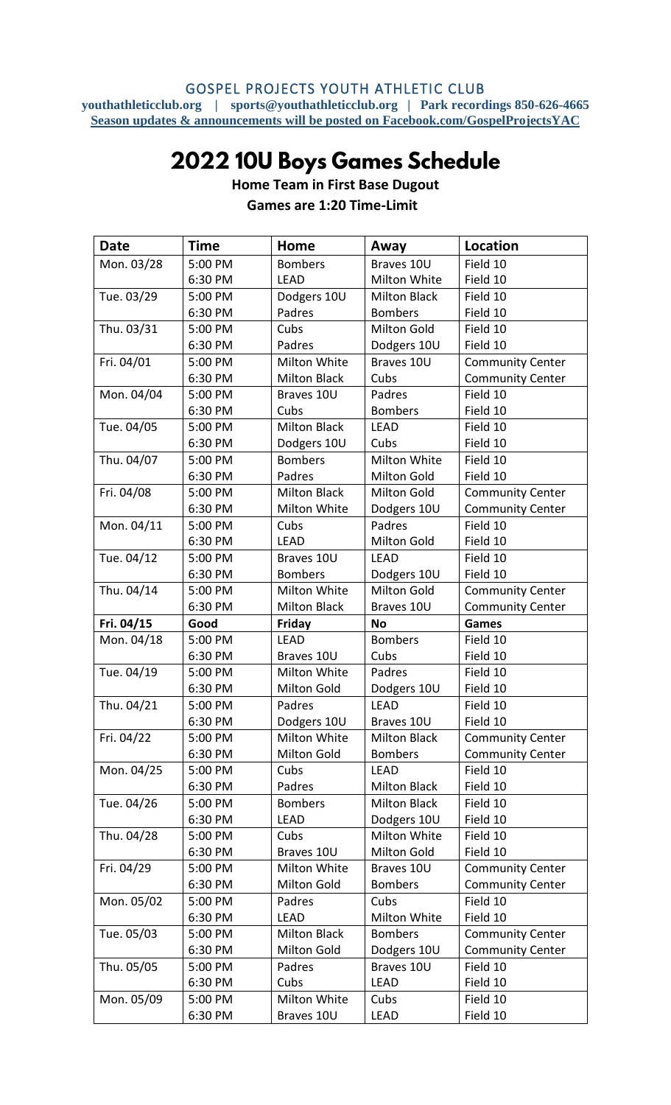## GOSPEL PROJECTS YOUTH ATHLETIC CLUB **youthathleticclub.org | sports@youthathleticclub.org | Park recordings 850-626-4665 Season updates & announcements will be posted on Facebook.com/GospelProjectsYAC**

## 2022 10U Boys Games Schedule

| <b>Date</b> | <b>Time</b> | Home                | Away                | Location                |
|-------------|-------------|---------------------|---------------------|-------------------------|
| Mon. 03/28  | 5:00 PM     | <b>Bombers</b>      | Braves 10U          | Field 10                |
|             | 6:30 PM     | <b>LEAD</b>         | Milton White        | Field 10                |
| Tue. 03/29  | 5:00 PM     | Dodgers 10U         | <b>Milton Black</b> | Field 10                |
|             | 6:30 PM     | Padres              | <b>Bombers</b>      | Field 10                |
| Thu. 03/31  | 5:00 PM     | Cubs                | Milton Gold         | Field 10                |
|             | 6:30 PM     | Padres              | Dodgers 10U         | Field 10                |
| Fri. 04/01  | 5:00 PM     | Milton White        | Braves 10U          | <b>Community Center</b> |
|             | 6:30 PM     | <b>Milton Black</b> | Cubs                | <b>Community Center</b> |
| Mon. 04/04  | 5:00 PM     | Braves 10U          | Padres              | Field 10                |
|             | 6:30 PM     | Cubs                | <b>Bombers</b>      | Field 10                |
| Tue. 04/05  | 5:00 PM     | <b>Milton Black</b> | <b>LEAD</b>         | Field 10                |
|             | 6:30 PM     | Dodgers 10U         | Cubs                | Field 10                |
| Thu. 04/07  | 5:00 PM     | <b>Bombers</b>      | Milton White        | Field 10                |
|             | 6:30 PM     | Padres              | Milton Gold         | Field 10                |
| Fri. 04/08  | 5:00 PM     | <b>Milton Black</b> | Milton Gold         | <b>Community Center</b> |
|             | 6:30 PM     | Milton White        | Dodgers 10U         | <b>Community Center</b> |
| Mon. 04/11  | 5:00 PM     | Cubs                | Padres              | Field 10                |
|             | 6:30 PM     | <b>LEAD</b>         | Milton Gold         | Field 10                |
| Tue. 04/12  | 5:00 PM     | Braves 10U          | <b>LEAD</b>         | Field 10                |
|             | 6:30 PM     | <b>Bombers</b>      | Dodgers 10U         | Field 10                |
| Thu. 04/14  | 5:00 PM     | Milton White        | Milton Gold         | <b>Community Center</b> |
|             | 6:30 PM     | <b>Milton Black</b> | Braves 10U          | <b>Community Center</b> |
| Fri. 04/15  | Good        | Friday              | <b>No</b>           | Games                   |
| Mon. 04/18  | 5:00 PM     | <b>LEAD</b>         | <b>Bombers</b>      | Field 10                |
|             | 6:30 PM     | Braves 10U          | Cubs                | Field 10                |
| Tue. 04/19  | 5:00 PM     | Milton White        | Padres              | Field 10                |
|             | 6:30 PM     | Milton Gold         | Dodgers 10U         | Field 10                |
| Thu. 04/21  | 5:00 PM     | Padres              | <b>LEAD</b>         | Field 10                |
|             | 6:30 PM     | Dodgers 10U         | Braves 10U          | Field 10                |
| Fri. 04/22  | 5:00 PM     | Milton White        | <b>Milton Black</b> | <b>Community Center</b> |
|             | 6:30 PM     | Milton Gold         | <b>Bombers</b>      | <b>Community Center</b> |
| Mon. 04/25  | 5:00 PM     | Cubs                | LEAD                | Field 10                |
|             | 6:30 PM     | Padres              | <b>Milton Black</b> | Field 10                |
| Tue. 04/26  | 5:00 PM     | <b>Bombers</b>      | <b>Milton Black</b> | Field 10                |
|             | 6:30 PM     | <b>LEAD</b>         | Dodgers 10U         | Field 10                |
| Thu. 04/28  | 5:00 PM     | Cubs                | Milton White        | Field 10                |
|             | 6:30 PM     | Braves 10U          | Milton Gold         | Field 10                |
| Fri. 04/29  | 5:00 PM     | Milton White        | Braves 10U          | <b>Community Center</b> |
|             | 6:30 PM     | Milton Gold         | <b>Bombers</b>      | <b>Community Center</b> |
| Mon. 05/02  | 5:00 PM     | Padres              | Cubs                | Field 10                |
|             | 6:30 PM     | <b>LEAD</b>         | Milton White        | Field 10                |
| Tue. 05/03  | 5:00 PM     | <b>Milton Black</b> | <b>Bombers</b>      | <b>Community Center</b> |
|             | 6:30 PM     | Milton Gold         | Dodgers 10U         | <b>Community Center</b> |
| Thu. 05/05  | 5:00 PM     | Padres              | Braves 10U          | Field 10                |
|             | 6:30 PM     | Cubs                | LEAD                | Field 10                |
| Mon. 05/09  | 5:00 PM     | Milton White        | Cubs                | Field 10                |
|             | 6:30 PM     | Braves 10U          | LEAD                | Field 10                |

**Home Team in First Base Dugout Games are 1:20 Time-Limit**